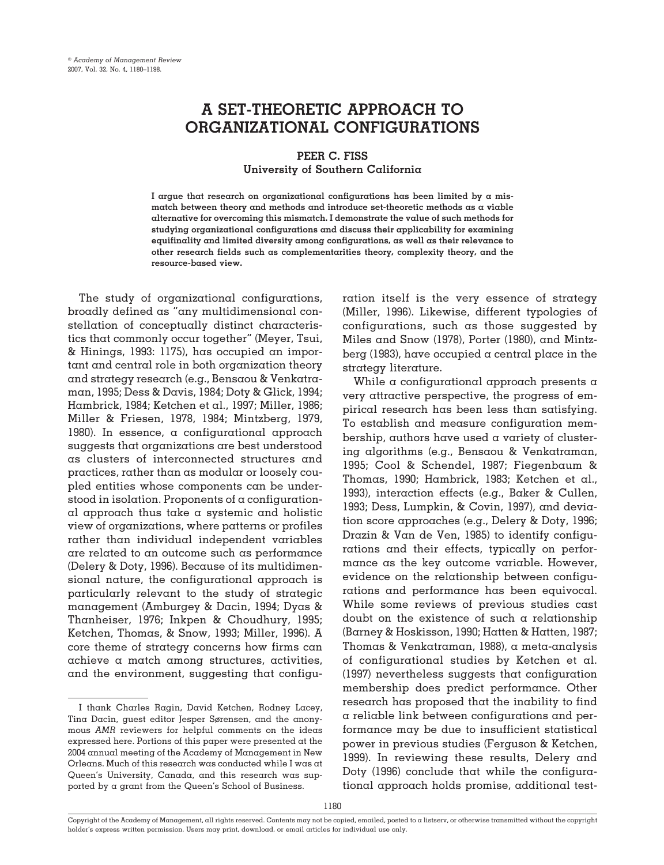# **A SET-THEORETIC APPROACH TO ORGANIZATIONAL CONFIGURATIONS**

## **PEER C. FISS University of Southern California**

**I argue that research on organizational configurations has been limited by a mismatch between theory and methods and introduce set-theoretic methods as a viable alternative for overcoming this mismatch. I demonstrate the value of such methods for studying organizational configurations and discuss their applicability for examining equifinality and limited diversity among configurations, as well as their relevance to other research fields such as complementarities theory, complexity theory, and the resource-based view.**

The study of organizational configurations, broadly defined as "any multidimensional constellation of conceptually distinct characteristics that commonly occur together" (Meyer, Tsui, & Hinings, 1993: 1175), has occupied an important and central role in both organization theory and strategy research (e.g., Bensaou & Venkatraman, 1995; Dess & Davis, 1984; Doty & Glick, 1994; Hambrick, 1984; Ketchen et al., 1997; Miller, 1986; Miller & Friesen, 1978, 1984; Mintzberg, 1979, 1980). In essence, a configurational approach suggests that organizations are best understood as clusters of interconnected structures and practices, rather than as modular or loosely coupled entities whose components can be understood in isolation. Proponents of a configurational approach thus take a systemic and holistic view of organizations, where patterns or profiles rather than individual independent variables are related to an outcome such as performance (Delery & Doty, 1996). Because of its multidimensional nature, the configurational approach is particularly relevant to the study of strategic management (Amburgey & Dacin, 1994; Dyas & Thanheiser, 1976; Inkpen & Choudhury, 1995; Ketchen, Thomas, & Snow, 1993; Miller, 1996). A core theme of strategy concerns how firms can achieve a match among structures, activities, and the environment, suggesting that configuration itself is the very essence of strategy (Miller, 1996). Likewise, different typologies of configurations, such as those suggested by Miles and Snow (1978), Porter (1980), and Mintzberg (1983), have occupied a central place in the strategy literature.

While a configurational approach presents a very attractive perspective, the progress of empirical research has been less than satisfying. To establish and measure configuration membership, authors have used a variety of clustering algorithms (e.g., Bensaou & Venkatraman, 1995; Cool & Schendel, 1987; Fiegenbaum & Thomas, 1990; Hambrick, 1983; Ketchen et al., 1993), interaction effects (e.g., Baker & Cullen, 1993; Dess, Lumpkin, & Covin, 1997), and deviation score approaches (e.g., Delery & Doty, 1996; Drazin & Van de Ven, 1985) to identify configurations and their effects, typically on performance as the key outcome variable. However, evidence on the relationship between configurations and performance has been equivocal. While some reviews of previous studies cast doubt on the existence of such a relationship (Barney & Hoskisson, 1990; Hatten & Hatten, 1987; Thomas & Venkatraman, 1988), a meta-analysis of configurational studies by Ketchen et al. (1997) nevertheless suggests that configuration membership does predict performance. Other research has proposed that the inability to find a reliable link between configurations and performance may be due to insufficient statistical power in previous studies (Ferguson & Ketchen, 1999). In reviewing these results, Delery and Doty (1996) conclude that while the configurational approach holds promise, additional test-

I thank Charles Ragin, David Ketchen, Rodney Lacey, Tina Dacin, guest editor Jesper Sørensen, and the anonymous *AMR* reviewers for helpful comments on the ideas expressed here. Portions of this paper were presented at the 2004 annual meeting of the Academy of Management in New Orleans. Much of this research was conducted while I was at Queen's University, Canada, and this research was supported by a grant from the Queen's School of Business.

Copyright of the Academy of Management, all rights reserved. Contents may not be copied, emailed, posted to a listserv, or otherwise transmitted without the copyright holder's express written permission. Users may print, download, or email articles for individual use only.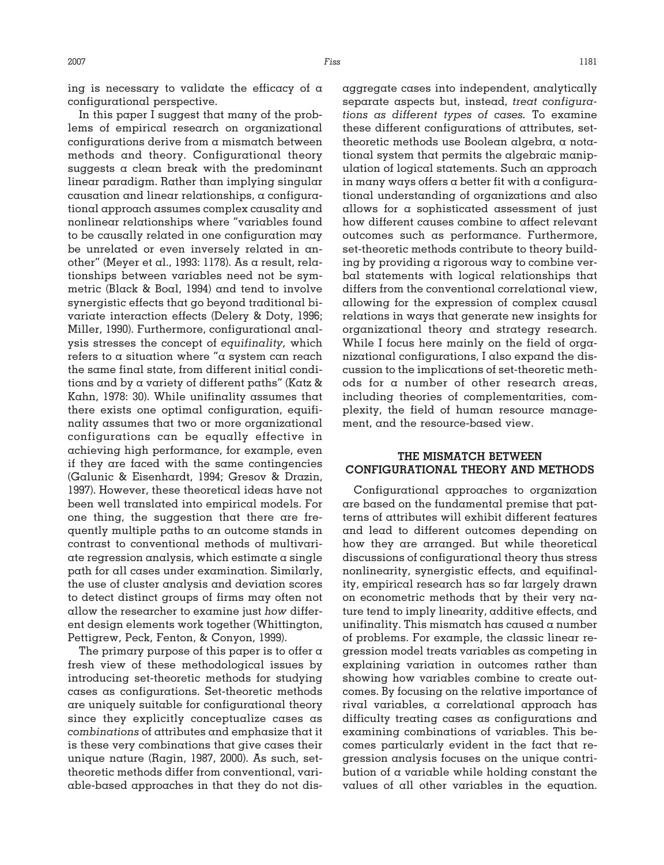ing is necessary to validate the efficacy of  $\alpha$ configurational perspective.

In this paper I suggest that many of the problems of empirical research on organizational configurations derive from a mismatch between methods and theory. Configurational theory suggests a clean break with the predominant linear paradigm. Rather than implying singular causation and linear relationships, a configurational approach assumes complex causality and nonlinear relationships where "variables found to be causally related in one configuration may be unrelated or even inversely related in another" (Meyer et al., 1993: 1178). As a result, relationships between variables need not be symmetric (Black & Boal, 1994) and tend to involve synergistic effects that go beyond traditional bivariate interaction effects (Delery & Doty, 1996; Miller, 1990). Furthermore, configurational analysis stresses the concept of *equifinality,* which refers to a situation where "a system can reach the same final state, from different initial conditions and by a variety of different paths" (Katz & Kahn, 1978: 30). While unifinality assumes that there exists one optimal configuration, equifinality assumes that two or more organizational configurations can be equally effective in achieving high performance, for example, even if they are faced with the same contingencies (Galunic & Eisenhardt, 1994; Gresov & Drazin, 1997). However, these theoretical ideas have not been well translated into empirical models. For one thing, the suggestion that there are frequently multiple paths to an outcome stands in contrast to conventional methods of multivariate regression analysis, which estimate a single path for all cases under examination. Similarly, the use of cluster analysis and deviation scores to detect distinct groups of firms may often not allow the researcher to examine just *how* different design elements work together (Whittington, Pettigrew, Peck, Fenton, & Conyon, 1999).

The primary purpose of this paper is to offer  $\alpha$ fresh view of these methodological issues by introducing set-theoretic methods for studying cases as configurations. Set-theoretic methods are uniquely suitable for configurational theory since they explicitly conceptualize cases as *combinations* of attributes and emphasize that it is these very combinations that give cases their unique nature (Ragin, 1987, 2000). As such, settheoretic methods differ from conventional, variable-based approaches in that they do not disaggregate cases into independent, analytically separate aspects but, instead, *treat configurations as different types of cases.* To examine these different configurations of attributes, settheoretic methods use Boolean algebra, a notational system that permits the algebraic manipulation of logical statements. Such an approach in many ways offers a better fit with a configurational understanding of organizations and also allows for a sophisticated assessment of just how different causes combine to affect relevant outcomes such as performance. Furthermore, set-theoretic methods contribute to theory building by providing a rigorous way to combine verbal statements with logical relationships that differs from the conventional correlational view, allowing for the expression of complex causal relations in ways that generate new insights for organizational theory and strategy research. While I focus here mainly on the field of organizational configurations, I also expand the discussion to the implications of set-theoretic methods for a number of other research areas, including theories of complementarities, complexity, the field of human resource management, and the resource-based view.

## **THE MISMATCH BETWEEN CONFIGURATIONAL THEORY AND METHODS**

Configurational approaches to organization are based on the fundamental premise that patterns of attributes will exhibit different features and lead to different outcomes depending on how they are arranged. But while theoretical discussions of configurational theory thus stress nonlinearity, synergistic effects, and equifinality, empirical research has so far largely drawn on econometric methods that by their very nature tend to imply linearity, additive effects, and unifinality. This mismatch has caused a number of problems. For example, the classic linear regression model treats variables as competing in explaining variation in outcomes rather than showing how variables combine to create outcomes. By focusing on the relative importance of rival variables, a correlational approach has difficulty treating cases as configurations and examining combinations of variables. This becomes particularly evident in the fact that regression analysis focuses on the unique contribution of a variable while holding constant the values of all other variables in the equation.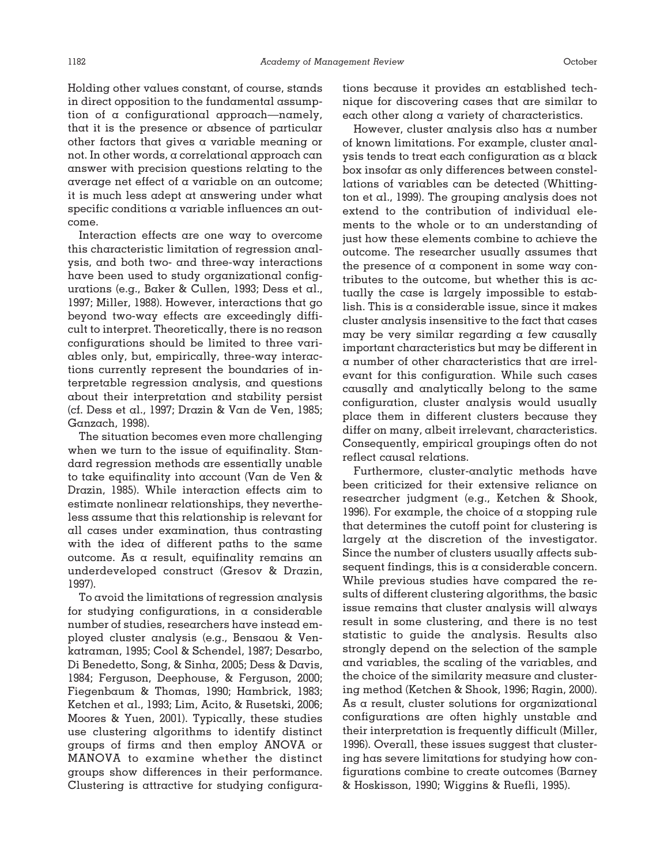Holding other values constant, of course, stands in direct opposition to the fundamental assumption of a configurational approach—namely, that it is the presence or absence of particular other factors that gives a variable meaning or not. In other words, a correlational approach can answer with precision questions relating to the average net effect of a variable on an outcome; it is much less adept at answering under what specific conditions a variable influences an outcome.

Interaction effects are one way to overcome this characteristic limitation of regression analysis, and both two- and three-way interactions have been used to study organizational configurations (e.g., Baker & Cullen, 1993; Dess et al., 1997; Miller, 1988). However, interactions that go beyond two-way effects are exceedingly difficult to interpret. Theoretically, there is no reason configurations should be limited to three variables only, but, empirically, three-way interactions currently represent the boundaries of interpretable regression analysis, and questions about their interpretation and stability persist (cf. Dess et al., 1997; Drazin & Van de Ven, 1985; Ganzach, 1998).

The situation becomes even more challenging when we turn to the issue of equifinality. Standard regression methods are essentially unable to take equifinality into account (Van de Ven & Drazin, 1985). While interaction effects aim to estimate nonlinear relationships, they nevertheless assume that this relationship is relevant for all cases under examination, thus contrasting with the idea of different paths to the same outcome. As a result, equifinality remains an underdeveloped construct (Gresov & Drazin, 1997).

To avoid the limitations of regression analysis for studying configurations, in a considerable number of studies, researchers have instead employed cluster analysis (e.g., Bensaou & Venkatraman, 1995; Cool & Schendel, 1987; Desarbo, Di Benedetto, Song, & Sinha, 2005; Dess & Davis, 1984; Ferguson, Deephouse, & Ferguson, 2000; Fiegenbaum & Thomas, 1990; Hambrick, 1983; Ketchen et al., 1993; Lim, Acito, & Rusetski, 2006; Moores & Yuen, 2001). Typically, these studies use clustering algorithms to identify distinct groups of firms and then employ ANOVA or MANOVA to examine whether the distinct groups show differences in their performance. Clustering is attractive for studying configurations because it provides an established technique for discovering cases that are similar to each other along a variety of characteristics.

However, cluster analysis also has a number of known limitations. For example, cluster analysis tends to treat each configuration as a black box insofar as only differences between constellations of variables can be detected (Whittington et al., 1999). The grouping analysis does not extend to the contribution of individual elements to the whole or to an understanding of just how these elements combine to achieve the outcome. The researcher usually assumes that the presence of a component in some way contributes to the outcome, but whether this is actually the case is largely impossible to establish. This is a considerable issue, since it makes cluster analysis insensitive to the fact that cases may be very similar regarding a few causally important characteristics but may be different in a number of other characteristics that are irrelevant for this configuration. While such cases causally and analytically belong to the same configuration, cluster analysis would usually place them in different clusters because they differ on many, albeit irrelevant, characteristics. Consequently, empirical groupings often do not reflect causal relations.

Furthermore, cluster-analytic methods have been criticized for their extensive reliance on researcher judgment (e.g., Ketchen & Shook, 1996). For example, the choice of  $\alpha$  stopping rule that determines the cutoff point for clustering is largely at the discretion of the investigator. Since the number of clusters usually affects subsequent findings, this is a considerable concern. While previous studies have compared the results of different clustering algorithms, the basic issue remains that cluster analysis will always result in some clustering, and there is no test statistic to guide the analysis. Results also strongly depend on the selection of the sample and variables, the scaling of the variables, and the choice of the similarity measure and clustering method (Ketchen & Shook, 1996; Ragin, 2000). As a result, cluster solutions for organizational configurations are often highly unstable and their interpretation is frequently difficult (Miller, 1996). Overall, these issues suggest that clustering has severe limitations for studying how configurations combine to create outcomes (Barney & Hoskisson, 1990; Wiggins & Ruefli, 1995).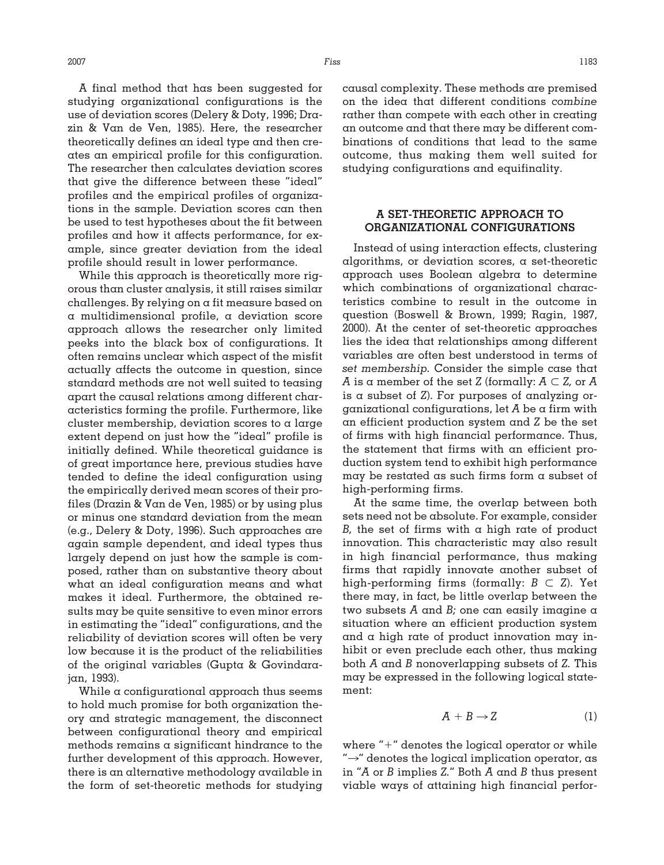A final method that has been suggested for studying organizational configurations is the use of deviation scores (Delery & Doty, 1996; Drazin & Van de Ven, 1985). Here, the researcher theoretically defines an ideal type and then creates an empirical profile for this configuration. The researcher then calculates deviation scores that give the difference between these "ideal" profiles and the empirical profiles of organiza-

tions in the sample. Deviation scores can then be used to test hypotheses about the fit between profiles and how it affects performance, for example, since greater deviation from the ideal profile should result in lower performance.

While this approach is theoretically more rigorous than cluster analysis, it still raises similar challenges. By relying on a fit measure based on a multidimensional profile, a deviation score approach allows the researcher only limited peeks into the black box of configurations. It often remains unclear which aspect of the misfit actually affects the outcome in question, since standard methods are not well suited to teasing apart the causal relations among different characteristics forming the profile. Furthermore, like cluster membership, deviation scores to a large extent depend on just how the "ideal" profile is initially defined. While theoretical guidance is of great importance here, previous studies have tended to define the ideal configuration using the empirically derived mean scores of their profiles (Drazin & Van de Ven, 1985) or by using plus or minus one standard deviation from the mean (e.g., Delery & Doty, 1996). Such approaches are again sample dependent, and ideal types thus largely depend on just how the sample is composed, rather than on substantive theory about what an ideal configuration means and what makes it ideal. Furthermore, the obtained results may be quite sensitive to even minor errors in estimating the "ideal" configurations, and the reliability of deviation scores will often be very low because it is the product of the reliabilities of the original variables (Gupta & Govindarajan, 1993).

While a configurational approach thus seems to hold much promise for both organization theory and strategic management, the disconnect between configurational theory and empirical methods remains a significant hindrance to the further development of this approach. However, there is an alternative methodology available in the form of set-theoretic methods for studying causal complexity. These methods are premised on the idea that different conditions *combine* rather than compete with each other in creating an outcome and that there may be different combinations of conditions that lead to the same outcome, thus making them well suited for studying configurations and equifinality.

## **A SET-THEORETIC APPROACH TO ORGANIZATIONAL CONFIGURATIONS**

Instead of using interaction effects, clustering algorithms, or deviation scores, a set-theoretic approach uses Boolean algebra to determine which combinations of organizational characteristics combine to result in the outcome in question (Boswell & Brown, 1999; Ragin, 1987, 2000). At the center of set-theoretic approaches lies the idea that relationships among different variables are often best understood in terms of *set membership.* Consider the simple case that *A* is a member of the set *Z* (formally:  $A \subset Z$ , or *A* is a subset of *Z*). For purposes of analyzing organizational configurations, let *A* be a firm with an efficient production system and *Z* be the set of firms with high financial performance. Thus, the statement that firms with an efficient production system tend to exhibit high performance may be restated as such firms form a subset of high-performing firms.

At the same time, the overlap between both sets need not be absolute. For example, consider *B*, the set of firms with  $\alpha$  high rate of product innovation. This characteristic may also result in high financial performance, thus making firms that rapidly innovate another subset of high-performing firms (formally:  $B \subset Z$ ). Yet there may, in fact, be little overlap between the two subsets *A* and *B;* one can easily imagine a situation where an efficient production system and a high rate of product innovation may inhibit or even preclude each other, thus making both *A* and *B* nonoverlapping subsets of *Z.* This may be expressed in the following logical statement:

$$
A + B \rightarrow Z \tag{1}
$$

where "+" denotes the logical operator or while  $''\rightarrow''$  denotes the logical implication operator, as in "*A* or *B* implies *Z.*" Both *A* and *B* thus present viable ways of attaining high financial perfor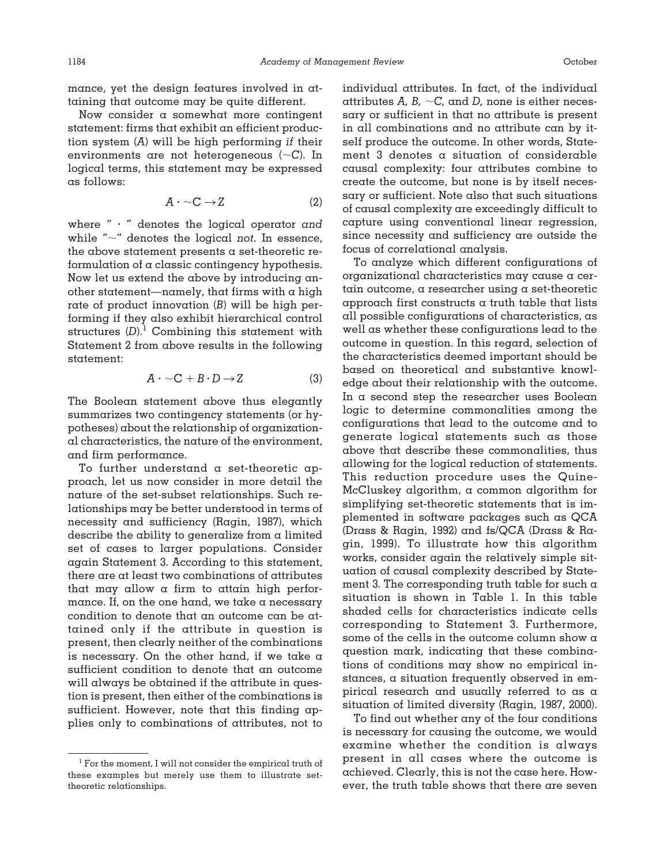mance, yet the design features involved in attaining that outcome may be quite different.

Now consider a somewhat more contingent statement: firms that exhibit an efficient production system (*A*) will be high performing *if* their environments are not heterogeneous (~C). In logical terms, this statement may be expressed as follows:

$$
A \cdot \sim C \to Z \tag{2}
$$

where " - " denotes the logical operator *and* while "-" denotes the logical *not.* In essence, the above statement presents a set-theoretic reformulation of a classic contingency hypothesis. Now let us extend the above by introducing another statement—namely, that firms with a high rate of product innovation (*B*) will be high performing if they also exhibit hierarchical control structures  $(D)$ .<sup>1</sup> Combining this statement with Statement 2 from above results in the following statement:

$$
A \cdot \sim C + B \cdot D \to Z \tag{3}
$$

The Boolean statement above thus elegantly summarizes two contingency statements (or hypotheses) about the relationship of organizational characteristics, the nature of the environment, and firm performance.

To further understand a set-theoretic approach, let us now consider in more detail the nature of the set-subset relationships. Such relationships may be better understood in terms of necessity and sufficiency (Ragin, 1987), which describe the ability to generalize from  $\alpha$  limited set of cases to larger populations. Consider again Statement 3. According to this statement, there are at least two combinations of attributes that may allow a firm to attain high performance. If, on the one hand, we take a necessary condition to denote that an outcome can be attained only if the attribute in question is present, then clearly neither of the combinations is necessary. On the other hand, if we take  $\alpha$ sufficient condition to denote that an outcome will always be obtained if the attribute in question is present, then either of the combinations is sufficient. However, note that this finding applies only to combinations of attributes, not to

individual attributes. In fact, of the individual attributes  $A$ ,  $B$ ,  $\sim$ C, and D, none is either necessary or sufficient in that no attribute is present in all combinations and no attribute can by itself produce the outcome. In other words, Statement 3 denotes a situation of considerable causal complexity: four attributes combine to create the outcome, but none is by itself necessary or sufficient. Note also that such situations of causal complexity are exceedingly difficult to capture using conventional linear regression, since necessity and sufficiency are outside the focus of correlational analysis.

To analyze which different configurations of organizational characteristics may cause a certain outcome, a researcher using a set-theoretic approach first constructs a truth table that lists all possible configurations of characteristics, as well as whether these configurations lead to the outcome in question. In this regard, selection of the characteristics deemed important should be based on theoretical and substantive knowledge about their relationship with the outcome. In a second step the researcher uses Boolean logic to determine commonalities among the configurations that lead to the outcome and to generate logical statements such as those above that describe these commonalities, thus allowing for the logical reduction of statements. This reduction procedure uses the Quine-McCluskey algorithm, a common algorithm for simplifying set-theoretic statements that is implemented in software packages such as QCA (Drass & Ragin, 1992) and fs/QCA (Drass & Ragin, 1999). To illustrate how this algorithm works, consider again the relatively simple situation of causal complexity described by Statement 3. The corresponding truth table for such  $\alpha$ situation is shown in Table 1. In this table shaded cells for characteristics indicate cells corresponding to Statement 3. Furthermore, some of the cells in the outcome column show a question mark, indicating that these combinations of conditions may show no empirical instances, a situation frequently observed in empirical research and usually referred to as a situation of limited diversity (Ragin, 1987, 2000).

To find out whether any of the four conditions is necessary for causing the outcome, we would examine whether the condition is always present in all cases where the outcome is achieved. Clearly, this is not the case here. However, the truth table shows that there are seven

<sup>&</sup>lt;sup>1</sup> For the moment, I will not consider the empirical truth of these examples but merely use them to illustrate settheoretic relationships.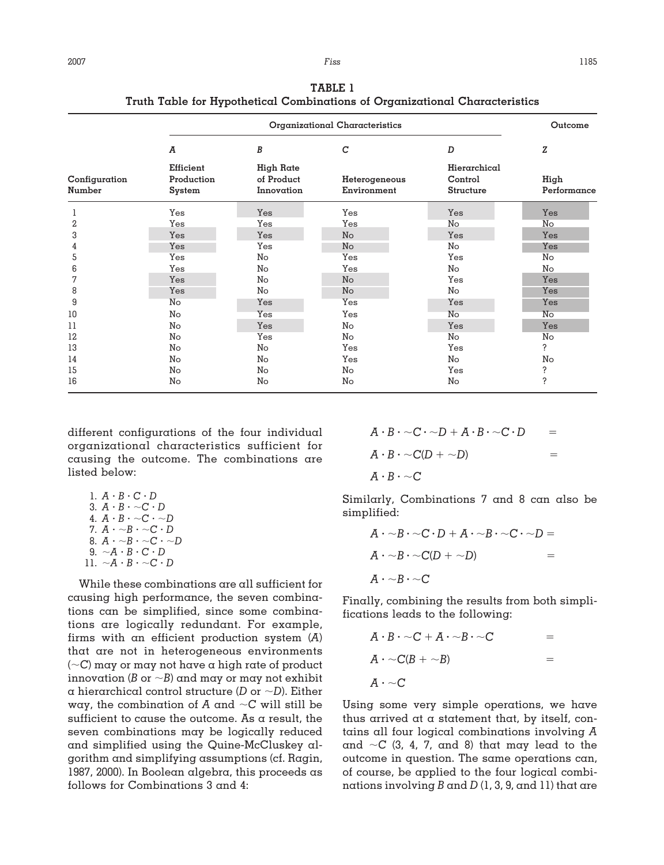|                         | Organizational Characteristics         |                                            |                                   |                                           | Outcome                  |
|-------------------------|----------------------------------------|--------------------------------------------|-----------------------------------|-------------------------------------------|--------------------------|
| Configuration<br>Number | A<br>Efficient<br>Production<br>System | B<br>High Rate<br>of Product<br>Innovation | C<br>Heterogeneous<br>Environment | D<br>Hierarchical<br>Control<br>Structure | Z<br>High<br>Performance |
|                         |                                        |                                            |                                   |                                           |                          |
| 2                       | Yes                                    | Yes                                        | Yes                               | No                                        | No                       |
| 3                       | Yes                                    | Yes                                        | No                                | Yes                                       | <b>Yes</b>               |
| 4                       | Yes                                    | Yes                                        | No                                | No                                        | Yes                      |
| 5                       | Yes                                    | No                                         | Yes                               | Yes                                       | No                       |
| 6                       | Yes                                    | No                                         | Yes                               | No                                        | No                       |
| 7                       | Yes                                    | No                                         | No                                | Yes                                       | <b>Yes</b>               |
| 8                       | Yes                                    | No                                         | No                                | No                                        | Yes                      |
| 9                       | No                                     | Yes                                        | Yes                               | Yes                                       | Yes                      |
| 10                      | No                                     | Yes                                        | Yes                               | No                                        | No                       |
| 11                      | No                                     | Yes                                        | No                                | Yes                                       | Yes                      |
| 12                      | No                                     | Yes                                        | No                                | No                                        | No                       |
| 13                      | No                                     | No                                         | Yes                               | Yes                                       | ç.                       |
| 14                      | No                                     | No                                         | Yes                               | No                                        | No                       |
| 15                      | No                                     | No                                         | No                                | Yes                                       | ŗ.                       |
| 16                      | No                                     | No                                         | No                                | No                                        | ?                        |

**TABLE 1 Truth Table for Hypothetical Combinations of Organizational Characteristics**

different configurations of the four individual organizational characteristics sufficient for causing the outcome. The combinations are listed below:

1. 
$$
A \cdot B \cdot C \cdot D
$$
\n3.  $A \cdot B \cdot \neg C \cdot D$ \n4.  $A \cdot B \cdot \neg C \cdot \neg D$ \n7.  $A \cdot \neg B \cdot \neg C \cdot \neg D$ \n8.  $A \cdot \neg B \cdot \neg C \cdot \neg D$ \n9.  $\neg A \cdot B \cdot C \cdot D$ \n11.  $\neg A \cdot B \cdot \neg C \cdot D$ 

While these combinations are all sufficient for causing high performance, the seven combinations can be simplified, since some combinations are logically redundant. For example, firms with an efficient production system (*A*) that are not in heterogeneous environments (~C) may or may not have a high rate of product innovation (*B* or  ${\sim}$ *B*) and may or may not exhibit a hierarchical control structure (*D* or -*D*). Either way, the combination of  $A$  and  $\sim$ C will still be sufficient to cause the outcome. As a result, the seven combinations may be logically reduced and simplified using the Quine-McCluskey algorithm and simplifying assumptions (cf. Ragin, 1987, 2000). In Boolean algebra, this proceeds as follows for Combinations 3 and 4:

$$
A \cdot B \cdot \sim C \cdot \sim D + A \cdot B \cdot \sim C \cdot D =
$$
  
\n
$$
A \cdot B \cdot \sim C(D + \sim D) =
$$
  
\n
$$
A \cdot B \cdot \sim C
$$

Similarly, Combinations 7 and 8 can also be simplified:

$$
A \cdot \sim B \cdot \sim C \cdot D + A \cdot \sim B \cdot \sim C \cdot \sim D =
$$
  

$$
A \cdot \sim B \cdot \sim C(D + \sim D)
$$
  

$$
A \cdot \sim B \cdot \sim C
$$

Finally, combining the results from both simplifications leads to the following:

$$
A \cdot B \cdot \sim C + A \cdot \sim B \cdot \sim C
$$
  

$$
A \cdot \sim C(B + \sim B)
$$
  

$$
A \cdot \sim C
$$

Using some very simple operations, we have thus arrived at a statement that, by itself, contains all four logical combinations involving *A* and  $\sim$ C (3, 4, 7, and 8) that may lead to the outcome in question. The same operations can, of course, be applied to the four logical combinations involving *B* and *D* (1, 3, 9, and 11) that are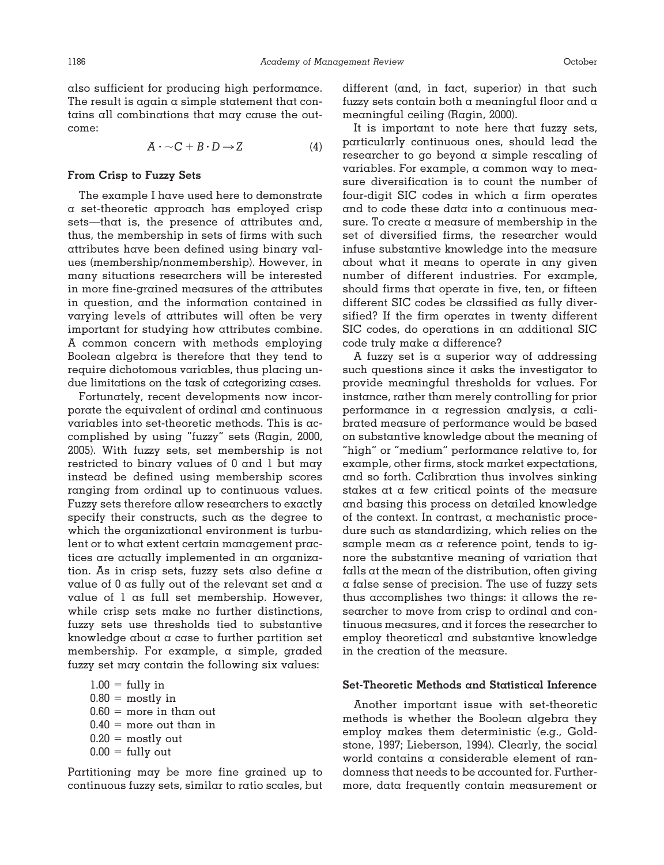also sufficient for producing high performance. The result is again a simple statement that contains all combinations that may cause the outcome:

$$
A \cdot \sim C + B \cdot D \to Z \tag{4}
$$

#### **From Crisp to Fuzzy Sets**

The example I have used here to demonstrate a set-theoretic approach has employed crisp sets—that is, the presence of attributes and, thus, the membership in sets of firms with such attributes have been defined using binary values (membership/nonmembership). However, in many situations researchers will be interested in more fine-grained measures of the attributes in question, and the information contained in varying levels of attributes will often be very important for studying how attributes combine. A common concern with methods employing Boolean algebra is therefore that they tend to require dichotomous variables, thus placing undue limitations on the task of categorizing cases.

Fortunately, recent developments now incorporate the equivalent of ordinal and continuous variables into set-theoretic methods. This is accomplished by using "fuzzy" sets (Ragin, 2000, 2005). With fuzzy sets, set membership is not restricted to binary values of 0 and 1 but may instead be defined using membership scores ranging from ordinal up to continuous values. Fuzzy sets therefore allow researchers to exactly specify their constructs, such as the degree to which the organizational environment is turbulent or to what extent certain management practices are actually implemented in an organization. As in crisp sets, fuzzy sets also define a value of 0 as fully out of the relevant set and a value of 1 as full set membership. However, while crisp sets make no further distinctions, fuzzy sets use thresholds tied to substantive knowledge about a case to further partition set membership. For example, a simple, graded fuzzy set may contain the following six values:

 $1.00 = \text{fully in}$  $0.80 = \text{mostly in}$  $0.60$  = more in than out  $0.40$  = more out than in  $0.20 = \text{mostly}$  out  $0.00 = \text{fully}$ 

Partitioning may be more fine grained up to continuous fuzzy sets, similar to ratio scales, but different (and, in fact, superior) in that such fuzzy sets contain both a meaningful floor and a meaningful ceiling (Ragin, 2000).

It is important to note here that fuzzy sets, particularly continuous ones, should lead the researcher to go beyond a simple rescaling of variables. For example, a common way to measure diversification is to count the number of four-digit SIC codes in which a firm operates and to code these data into a continuous measure. To create a measure of membership in the set of diversified firms, the researcher would infuse substantive knowledge into the measure about what it means to operate in any given number of different industries. For example, should firms that operate in five, ten, or fifteen different SIC codes be classified as fully diversified? If the firm operates in twenty different SIC codes, do operations in an additional SIC code truly make a difference?

A fuzzy set is a superior way of addressing such questions since it asks the investigator to provide meaningful thresholds for values. For instance, rather than merely controlling for prior performance in a regression analysis, a calibrated measure of performance would be based on substantive knowledge about the meaning of "high" or "medium" performance relative to, for example, other firms, stock market expectations, and so forth. Calibration thus involves sinking stakes at a few critical points of the measure and basing this process on detailed knowledge of the context. In contrast, a mechanistic procedure such as standardizing, which relies on the sample mean as a reference point, tends to ignore the substantive meaning of variation that falls at the mean of the distribution, often giving a false sense of precision. The use of fuzzy sets thus accomplishes two things: it allows the researcher to move from crisp to ordinal and continuous measures, and it forces the researcher to employ theoretical and substantive knowledge in the creation of the measure.

### **Set-Theoretic Methods and Statistical Inference**

Another important issue with set-theoretic methods is whether the Boolean algebra they employ makes them deterministic (e.g., Goldstone, 1997; Lieberson, 1994). Clearly, the social world contains a considerable element of randomness that needs to be accounted for. Furthermore, data frequently contain measurement or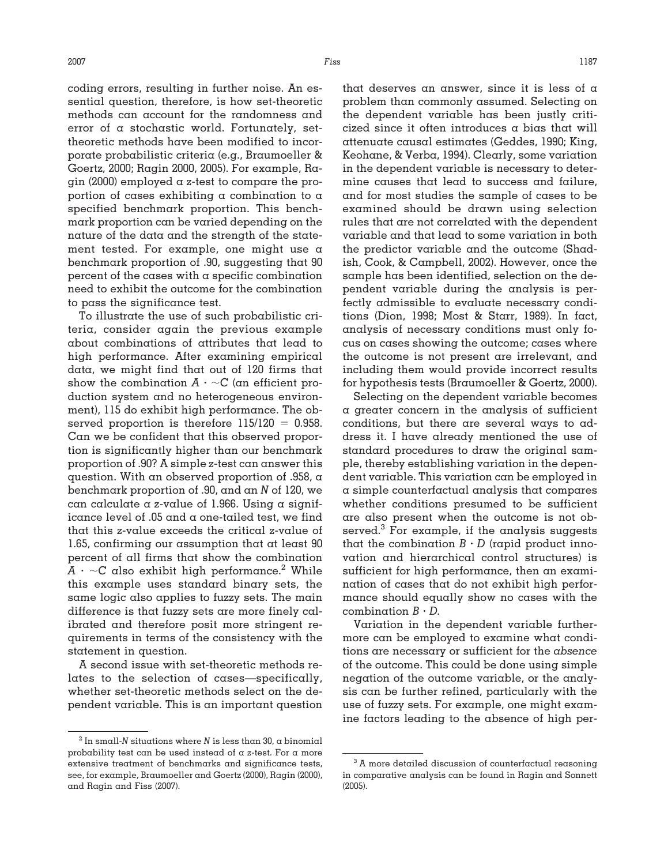coding errors, resulting in further noise. An essential question, therefore, is how set-theoretic methods can account for the randomness and error of a stochastic world. Fortunately, settheoretic methods have been modified to incorporate probabilistic criteria (e.g., Braumoeller & Goertz, 2000; Ragin 2000, 2005). For example, Ragin (2000) employed a *z*-test to compare the proportion of cases exhibiting a combination to a specified benchmark proportion. This benchmark proportion can be varied depending on the nature of the data and the strength of the statement tested. For example, one might use a benchmark proportion of .90, suggesting that 90 percent of the cases with a specific combination need to exhibit the outcome for the combination to pass the significance test.

To illustrate the use of such probabilistic criteria, consider again the previous example about combinations of attributes that lead to high performance. After examining empirical data, we might find that out of 120 firms that show the combination  $A \cdot \mathord{\sim} C$  (an efficient production system and no heterogeneous environment), 115 do exhibit high performance. The observed proportion is therefore  $115/120 = 0.958$ . Can we be confident that this observed proportion is significantly higher than our benchmark proportion of .90? A simple *z*-test can answer this question. With an observed proportion of .958, a benchmark proportion of .90, and an *N* of 120, we can calculate a *z*-value of 1.966. Using a significance level of .05 and a one-tailed test, we find that this *z*-value exceeds the critical *z*-value of 1.65, confirming our assumption that at least 90 percent of all firms that show the combination  $\bar{A}$   $\cdot$   $\sim$ C also exhibit high performance. $^2$  While this example uses standard binary sets, the same logic also applies to fuzzy sets. The main difference is that fuzzy sets are more finely calibrated and therefore posit more stringent requirements in terms of the consistency with the statement in question.

A second issue with set-theoretic methods relates to the selection of cases—specifically, whether set-theoretic methods select on the dependent variable. This is an important question that deserves an answer, since it is less of a problem than commonly assumed. Selecting on the dependent variable has been justly criticized since it often introduces a bias that will attenuate causal estimates (Geddes, 1990; King, Keohane, & Verba, 1994). Clearly, some variation in the dependent variable is necessary to determine causes that lead to success and failure, and for most studies the sample of cases to be examined should be drawn using selection rules that are not correlated with the dependent variable and that lead to some variation in both the predictor variable and the outcome (Shadish, Cook, & Campbell, 2002). However, once the sample has been identified, selection on the dependent variable during the analysis is perfectly admissible to evaluate necessary conditions (Dion, 1998; Most & Starr, 1989). In fact, analysis of necessary conditions must only focus on cases showing the outcome; cases where the outcome is not present are irrelevant, and including them would provide incorrect results for hypothesis tests (Braumoeller & Goertz, 2000).

Selecting on the dependent variable becomes a greater concern in the analysis of sufficient conditions, but there are several ways to address it. I have already mentioned the use of standard procedures to draw the original sample, thereby establishing variation in the dependent variable. This variation can be employed in a simple counterfactual analysis that compares whether conditions presumed to be sufficient are also present when the outcome is not observed. $3$  For example, if the analysis suggests that the combination  $B \cdot D$  (rapid product innovation and hierarchical control structures) is sufficient for high performance, then an examination of cases that do not exhibit high performance should equally show no cases with the  $combination B \cdot D$ .

Variation in the dependent variable furthermore can be employed to examine what conditions are necessary or sufficient for the *absence* of the outcome. This could be done using simple negation of the outcome variable, or the analysis can be further refined, particularly with the use of fuzzy sets. For example, one might examine factors leading to the absence of high per-

 $2$  In small-*N* situations where *N* is less than 30, a binomial probability test can be used instead of a *z*-test. For a more extensive treatment of benchmarks and significance tests, see, for example, Braumoeller and Goertz (2000), Ragin (2000), and Ragin and Fiss (2007).

<sup>&</sup>lt;sup>3</sup> A more detailed discussion of counterfactual reasoning in comparative analysis can be found in Ragin and Sonnett (2005).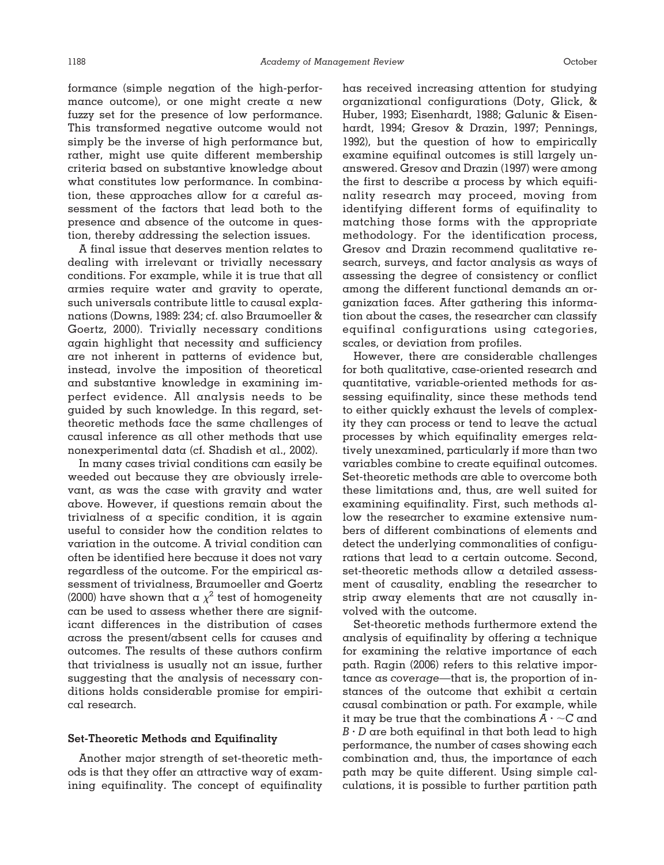formance (simple negation of the high-performance outcome), or one might create  $\alpha$  new fuzzy set for the presence of low performance. This transformed negative outcome would not simply be the inverse of high performance but, rather, might use quite different membership criteria based on substantive knowledge about what constitutes low performance. In combination, these approaches allow for a careful assessment of the factors that lead both to the presence and absence of the outcome in question, thereby addressing the selection issues.

A final issue that deserves mention relates to dealing with irrelevant or trivially necessary conditions. For example, while it is true that all armies require water and gravity to operate, such universals contribute little to causal explanations (Downs, 1989: 234; cf. also Braumoeller & Goertz, 2000). Trivially necessary conditions again highlight that necessity and sufficiency are not inherent in patterns of evidence but, instead, involve the imposition of theoretical and substantive knowledge in examining imperfect evidence. All analysis needs to be guided by such knowledge. In this regard, settheoretic methods face the same challenges of causal inference as all other methods that use nonexperimental data (cf. Shadish et al., 2002).

In many cases trivial conditions can easily be weeded out because they are obviously irrelevant, as was the case with gravity and water above. However, if questions remain about the trivialness of a specific condition, it is again useful to consider how the condition relates to variation in the outcome. A trivial condition can often be identified here because it does not vary regardless of the outcome. For the empirical assessment of trivialness, Braumoeller and Goertz (2000) have shown that a  $\chi^2$  test of homogeneity can be used to assess whether there are significant differences in the distribution of cases across the present/absent cells for causes and outcomes. The results of these authors confirm that trivialness is usually not an issue, further suggesting that the analysis of necessary conditions holds considerable promise for empirical research.

### **Set-Theoretic Methods and Equifinality**

Another major strength of set-theoretic methods is that they offer an attractive way of examining equifinality. The concept of equifinality has received increasing attention for studying organizational configurations (Doty, Glick, & Huber, 1993; Eisenhardt, 1988; Galunic & Eisenhardt, 1994; Gresov & Drazin, 1997; Pennings, 1992), but the question of how to empirically examine equifinal outcomes is still largely unanswered. Gresov and Drazin (1997) were among the first to describe a process by which equifinality research may proceed, moving from identifying different forms of equifinality to matching those forms with the appropriate methodology. For the identification process, Gresov and Drazin recommend qualitative research, surveys, and factor analysis as ways of assessing the degree of consistency or conflict among the different functional demands an organization faces. After gathering this information about the cases, the researcher can classify equifinal configurations using categories, scales, or deviation from profiles.

However, there are considerable challenges for both qualitative, case-oriented research and quantitative, variable-oriented methods for assessing equifinality, since these methods tend to either quickly exhaust the levels of complexity they can process or tend to leave the actual processes by which equifinality emerges relatively unexamined, particularly if more than two variables combine to create equifinal outcomes. Set-theoretic methods are able to overcome both these limitations and, thus, are well suited for examining equifinality. First, such methods allow the researcher to examine extensive numbers of different combinations of elements and detect the underlying commonalities of configurations that lead to a certain outcome. Second, set-theoretic methods allow a detailed assessment of causality, enabling the researcher to strip away elements that are not causally involved with the outcome.

Set-theoretic methods furthermore extend the analysis of equifinality by offering a technique for examining the relative importance of each path. Ragin (2006) refers to this relative importance as *coverage*—that is, the proportion of instances of the outcome that exhibit a certain causal combination or path. For example, while it may be true that the combinations  $A \cdot \mathord{\sim} \texttt{C}$  and *B* - *D* are both equifinal in that both lead to high performance, the number of cases showing each combination and, thus, the importance of each path may be quite different. Using simple calculations, it is possible to further partition path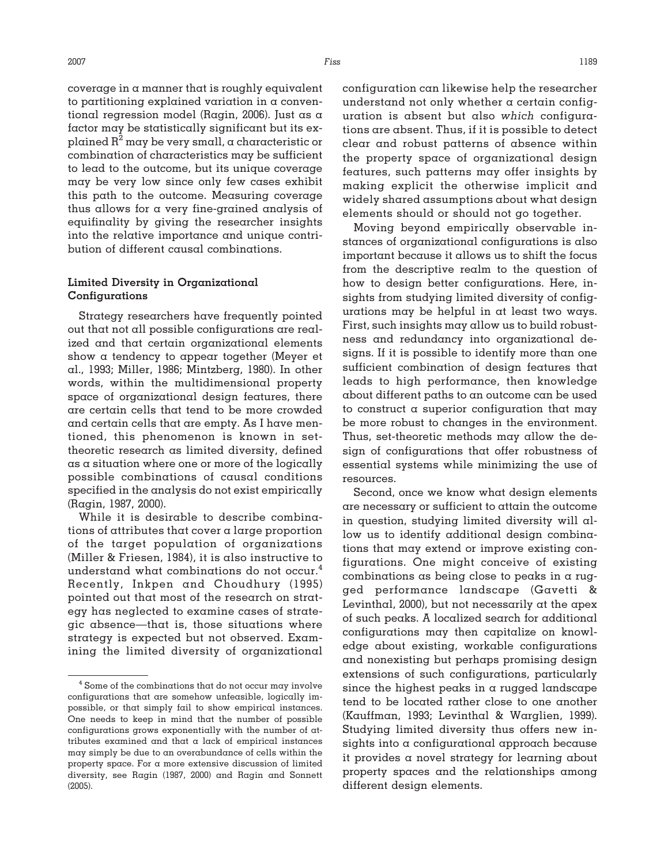coverage in a manner that is roughly equivalent to partitioning explained variation in a conventional regression model (Ragin, 2006). Just as a factor may be statistically significant but its explained  $R^2$  may be very small, a characteristic or combination of characteristics may be sufficient to lead to the outcome, but its unique coverage may be very low since only few cases exhibit this path to the outcome. Measuring coverage thus allows for a very fine-grained analysis of equifinality by giving the researcher insights into the relative importance and unique contribution of different causal combinations.

## **Limited Diversity in Organizational Configurations**

Strategy researchers have frequently pointed out that not all possible configurations are realized and that certain organizational elements show a tendency to appear together (Meyer et al., 1993; Miller, 1986; Mintzberg, 1980). In other words, within the multidimensional property space of organizational design features, there are certain cells that tend to be more crowded and certain cells that are empty. As I have mentioned, this phenomenon is known in settheoretic research as limited diversity, defined as a situation where one or more of the logically possible combinations of causal conditions specified in the analysis do not exist empirically (Ragin, 1987, 2000).

While it is desirable to describe combinations of attributes that cover a large proportion of the target population of organizations (Miller & Friesen, 1984), it is also instructive to understand what combinations do not occur.<sup>4</sup> Recently, Inkpen and Choudhury (1995) pointed out that most of the research on strategy has neglected to examine cases of strategic absence—that is, those situations where strategy is expected but not observed. Examining the limited diversity of organizational configuration can likewise help the researcher understand not only whether a certain configuration is absent but also *which* configurations are absent. Thus, if it is possible to detect clear and robust patterns of absence within the property space of organizational design features, such patterns may offer insights by making explicit the otherwise implicit and widely shared assumptions about what design elements should or should not go together.

Moving beyond empirically observable instances of organizational configurations is also important because it allows us to shift the focus from the descriptive realm to the question of how to design better configurations. Here, insights from studying limited diversity of configurations may be helpful in at least two ways. First, such insights may allow us to build robustness and redundancy into organizational designs. If it is possible to identify more than one sufficient combination of design features that leads to high performance, then knowledge about different paths to an outcome can be used to construct a superior configuration that may be more robust to changes in the environment. Thus, set-theoretic methods may allow the design of configurations that offer robustness of essential systems while minimizing the use of resources.

Second, once we know what design elements are necessary or sufficient to attain the outcome in question, studying limited diversity will allow us to identify additional design combinations that may extend or improve existing configurations. One might conceive of existing combinations as being close to peaks in a rugged performance landscape (Gavetti & Levinthal, 2000), but not necessarily at the apex of such peaks. A localized search for additional configurations may then capitalize on knowledge about existing, workable configurations and nonexisting but perhaps promising design extensions of such configurations, particularly since the highest peaks in a rugged landscape tend to be located rather close to one another (Kauffman, 1993; Levinthal & Warglien, 1999). Studying limited diversity thus offers new insights into a configurational approach because it provides a novel strategy for learning about property spaces and the relationships among different design elements.

<sup>4</sup> Some of the combinations that do not occur may involve configurations that are somehow unfeasible, logically impossible, or that simply fail to show empirical instances. One needs to keep in mind that the number of possible configurations grows exponentially with the number of attributes examined and that a lack of empirical instances may simply be due to an overabundance of cells within the property space. For a more extensive discussion of limited diversity, see Ragin (1987, 2000) and Ragin and Sonnett  $(2005)$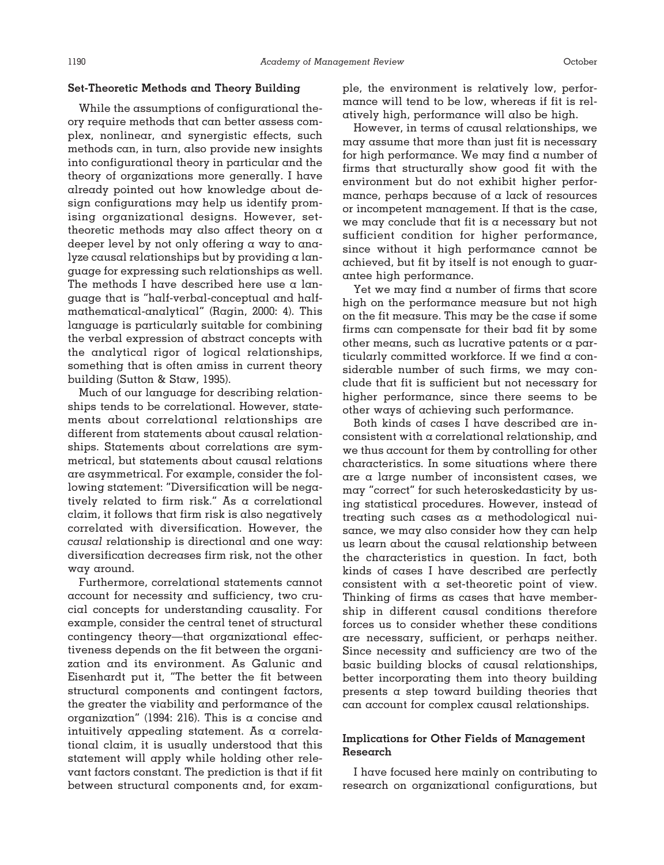#### **Set-Theoretic Methods and Theory Building**

While the assumptions of configurational theory require methods that can better assess complex, nonlinear, and synergistic effects, such methods can, in turn, also provide new insights into configurational theory in particular and the theory of organizations more generally. I have already pointed out how knowledge about design configurations may help us identify promising organizational designs. However, settheoretic methods may also affect theory on a deeper level by not only offering a way to analyze causal relationships but by providing  $\alpha$  language for expressing such relationships as well. The methods I have described here use  $\alpha$  language that is "half-verbal-conceptual and halfmathematical-analytical" (Ragin, 2000: 4). This language is particularly suitable for combining the verbal expression of abstract concepts with the analytical rigor of logical relationships, something that is often amiss in current theory building (Sutton & Staw, 1995).

Much of our language for describing relationships tends to be correlational. However, statements about correlational relationships are different from statements about causal relationships. Statements about correlations are symmetrical, but statements about causal relations are asymmetrical. For example, consider the following statement: "Diversification will be negatively related to firm risk." As a correlational claim, it follows that firm risk is also negatively correlated with diversification. However, the *causal* relationship is directional and one way: diversification decreases firm risk, not the other way around.

Furthermore, correlational statements cannot account for necessity and sufficiency, two crucial concepts for understanding causality. For example, consider the central tenet of structural contingency theory—that organizational effectiveness depends on the fit between the organization and its environment. As Galunic and Eisenhardt put it, "The better the fit between structural components and contingent factors, the greater the viability and performance of the organization" (1994: 216). This is a concise and intuitively appealing statement. As a correlational claim, it is usually understood that this statement will apply while holding other relevant factors constant. The prediction is that if fit between structural components and, for example, the environment is relatively low, performance will tend to be low, whereas if fit is relatively high, performance will also be high.

However, in terms of causal relationships, we may assume that more than just fit is necessary for high performance. We may find a number of firms that structurally show good fit with the environment but do not exhibit higher performance, perhaps because of a lack of resources or incompetent management. If that is the case, we may conclude that fit is a necessary but not sufficient condition for higher performance, since without it high performance cannot be achieved, but fit by itself is not enough to guarantee high performance.

Yet we may find a number of firms that score high on the performance measure but not high on the fit measure. This may be the case if some firms can compensate for their bad fit by some other means, such as lucrative patents or a particularly committed workforce. If we find a considerable number of such firms, we may conclude that fit is sufficient but not necessary for higher performance, since there seems to be other ways of achieving such performance.

Both kinds of cases I have described are inconsistent with a correlational relationship, and we thus account for them by controlling for other characteristics. In some situations where there are a large number of inconsistent cases, we may "correct" for such heteroskedasticity by using statistical procedures. However, instead of treating such cases as a methodological nuisance, we may also consider how they can help us learn about the causal relationship between the characteristics in question. In fact, both kinds of cases I have described are perfectly consistent with a set-theoretic point of view. Thinking of firms as cases that have membership in different causal conditions therefore forces us to consider whether these conditions are necessary, sufficient, or perhaps neither. Since necessity and sufficiency are two of the basic building blocks of causal relationships, better incorporating them into theory building presents a step toward building theories that can account for complex causal relationships.

## **Implications for Other Fields of Management Research**

I have focused here mainly on contributing to research on organizational configurations, but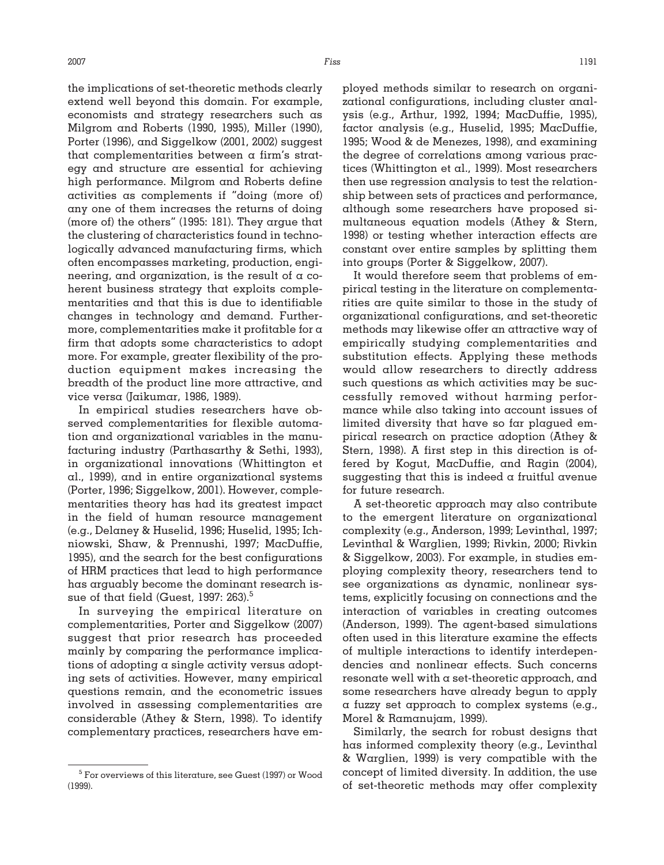the implications of set-theoretic methods clearly extend well beyond this domain. For example, economists and strategy researchers such as Milgrom and Roberts (1990, 1995), Miller (1990), Porter (1996), and Siggelkow (2001, 2002) suggest that complementarities between a firm's strategy and structure are essential for achieving high performance. Milgrom and Roberts define activities as complements if "doing (more of) any one of them increases the returns of doing (more of) the others" (1995: 181). They argue that the clustering of characteristics found in technologically advanced manufacturing firms, which often encompasses marketing, production, engineering, and organization, is the result of  $\alpha$  coherent business strategy that exploits complementarities and that this is due to identifiable changes in technology and demand. Furthermore, complementarities make it profitable for a firm that adopts some characteristics to adopt more. For example, greater flexibility of the production equipment makes increasing the breadth of the product line more attractive, and vice versa (Jaikumar, 1986, 1989).

In empirical studies researchers have observed complementarities for flexible automation and organizational variables in the manufacturing industry (Parthasarthy & Sethi, 1993), in organizational innovations (Whittington et al., 1999), and in entire organizational systems (Porter, 1996; Siggelkow, 2001). However, complementarities theory has had its greatest impact in the field of human resource management (e.g., Delaney & Huselid, 1996; Huselid, 1995; Ichniowski, Shaw, & Prennushi, 1997; MacDuffie, 1995), and the search for the best configurations of HRM practices that lead to high performance has arguably become the dominant research issue of that field (Guest, 1997: 263).<sup>5</sup>

In surveying the empirical literature on complementarities, Porter and Siggelkow (2007) suggest that prior research has proceeded mainly by comparing the performance implications of adopting a single activity versus adopting sets of activities. However, many empirical questions remain, and the econometric issues involved in assessing complementarities are considerable (Athey & Stern, 1998). To identify complementary practices, researchers have employed methods similar to research on organizational configurations, including cluster analysis (e.g., Arthur, 1992, 1994; MacDuffie, 1995), factor analysis (e.g., Huselid, 1995; MacDuffie, 1995; Wood & de Menezes, 1998), and examining the degree of correlations among various practices (Whittington et al., 1999). Most researchers then use regression analysis to test the relationship between sets of practices and performance, although some researchers have proposed simultaneous equation models (Athey & Stern, 1998) or testing whether interaction effects are constant over entire samples by splitting them into groups (Porter & Siggelkow, 2007).

It would therefore seem that problems of empirical testing in the literature on complementarities are quite similar to those in the study of organizational configurations, and set-theoretic methods may likewise offer an attractive way of empirically studying complementarities and substitution effects. Applying these methods would allow researchers to directly address such questions as which activities may be successfully removed without harming performance while also taking into account issues of limited diversity that have so far plagued empirical research on practice adoption (Athey & Stern, 1998). A first step in this direction is offered by Kogut, MacDuffie, and Ragin (2004), suggesting that this is indeed a fruitful avenue for future research.

A set-theoretic approach may also contribute to the emergent literature on organizational complexity (e.g., Anderson, 1999; Levinthal, 1997; Levinthal & Warglien, 1999; Rivkin, 2000; Rivkin & Siggelkow, 2003). For example, in studies employing complexity theory, researchers tend to see organizations as dynamic, nonlinear systems, explicitly focusing on connections and the interaction of variables in creating outcomes (Anderson, 1999). The agent-based simulations often used in this literature examine the effects of multiple interactions to identify interdependencies and nonlinear effects. Such concerns resonate well with a set-theoretic approach, and some researchers have already begun to apply a fuzzy set approach to complex systems (e.g., Morel & Ramanujam, 1999).

Similarly, the search for robust designs that has informed complexity theory (e.g., Levinthal & Warglien, 1999) is very compatible with the concept of limited diversity. In addition, the use of set-theoretic methods may offer complexity

<sup>5</sup> For overviews of this literature, see Guest (1997) or Wood (1999).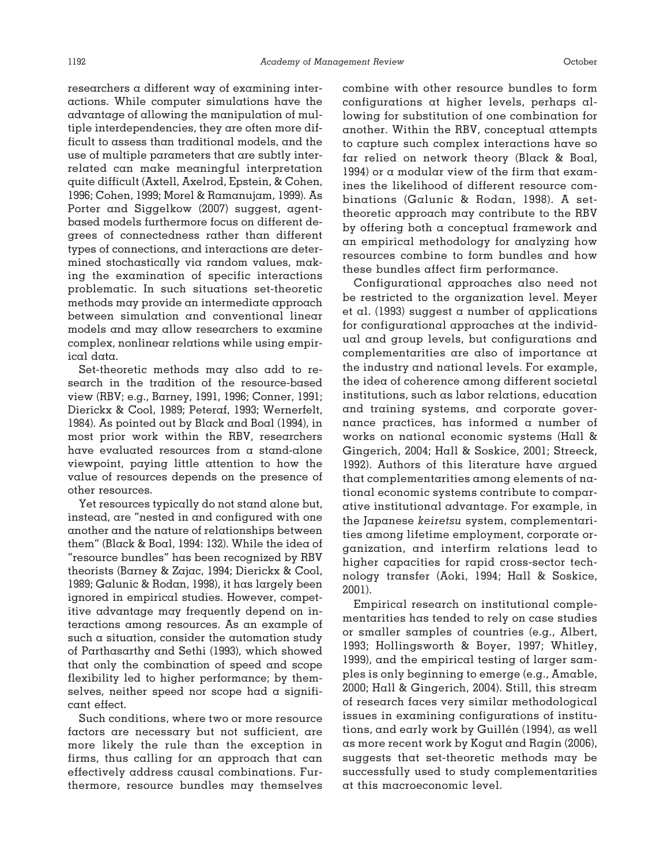researchers a different way of examining interactions. While computer simulations have the advantage of allowing the manipulation of multiple interdependencies, they are often more difficult to assess than traditional models, and the use of multiple parameters that are subtly interrelated can make meaningful interpretation quite difficult (Axtell, Axelrod, Epstein, & Cohen, 1996; Cohen, 1999; Morel & Ramanujam, 1999). As Porter and Siggelkow (2007) suggest, agentbased models furthermore focus on different degrees of connectedness rather than different types of connections, and interactions are determined stochastically via random values, making the examination of specific interactions problematic. In such situations set-theoretic methods may provide an intermediate approach between simulation and conventional linear models and may allow researchers to examine complex, nonlinear relations while using empirical data.

Set-theoretic methods may also add to research in the tradition of the resource-based view (RBV; e.g., Barney, 1991, 1996; Conner, 1991; Dierickx & Cool, 1989; Peteraf, 1993; Wernerfelt, 1984). As pointed out by Black and Boal (1994), in most prior work within the RBV, researchers have evaluated resources from a stand-alone viewpoint, paying little attention to how the value of resources depends on the presence of other resources.

Yet resources typically do not stand alone but, instead, are "nested in and configured with one another and the nature of relationships between them" (Black & Boal, 1994: 132). While the idea of "resource bundles" has been recognized by RBV theorists (Barney & Zajac, 1994; Dierickx & Cool, 1989; Galunic & Rodan, 1998), it has largely been ignored in empirical studies. However, competitive advantage may frequently depend on interactions among resources. As an example of such a situation, consider the automation study of Parthasarthy and Sethi (1993), which showed that only the combination of speed and scope flexibility led to higher performance; by themselves, neither speed nor scope had a significant effect.

Such conditions, where two or more resource factors are necessary but not sufficient, are more likely the rule than the exception in firms, thus calling for an approach that can effectively address causal combinations. Furthermore, resource bundles may themselves combine with other resource bundles to form configurations at higher levels, perhaps allowing for substitution of one combination for another. Within the RBV, conceptual attempts to capture such complex interactions have so far relied on network theory (Black & Boal, 1994) or a modular view of the firm that examines the likelihood of different resource combinations (Galunic & Rodan, 1998). A settheoretic approach may contribute to the RBV by offering both a conceptual framework and an empirical methodology for analyzing how resources combine to form bundles and how these bundles affect firm performance.

Configurational approaches also need not be restricted to the organization level. Meyer et al. (1993) suggest a number of applications for configurational approaches at the individual and group levels, but configurations and complementarities are also of importance at the industry and national levels. For example, the idea of coherence among different societal institutions, such as labor relations, education and training systems, and corporate governance practices, has informed a number of works on national economic systems (Hall & Gingerich, 2004; Hall & Soskice, 2001; Streeck, 1992). Authors of this literature have argued that complementarities among elements of national economic systems contribute to comparative institutional advantage. For example, in the Japanese *keiretsu* system, complementarities among lifetime employment, corporate organization, and interfirm relations lead to higher capacities for rapid cross-sector technology transfer (Aoki, 1994; Hall & Soskice, 2001).

Empirical research on institutional complementarities has tended to rely on case studies or smaller samples of countries (e.g., Albert, 1993; Hollingsworth & Boyer, 1997; Whitley, 1999), and the empirical testing of larger samples is only beginning to emerge (e.g., Amable, 2000; Hall & Gingerich, 2004). Still, this stream of research faces very similar methodological issues in examining configurations of institutions, and early work by Guillén (1994), as well as more recent work by Kogut and Ragin (2006), suggests that set-theoretic methods may be successfully used to study complementarities at this macroeconomic level.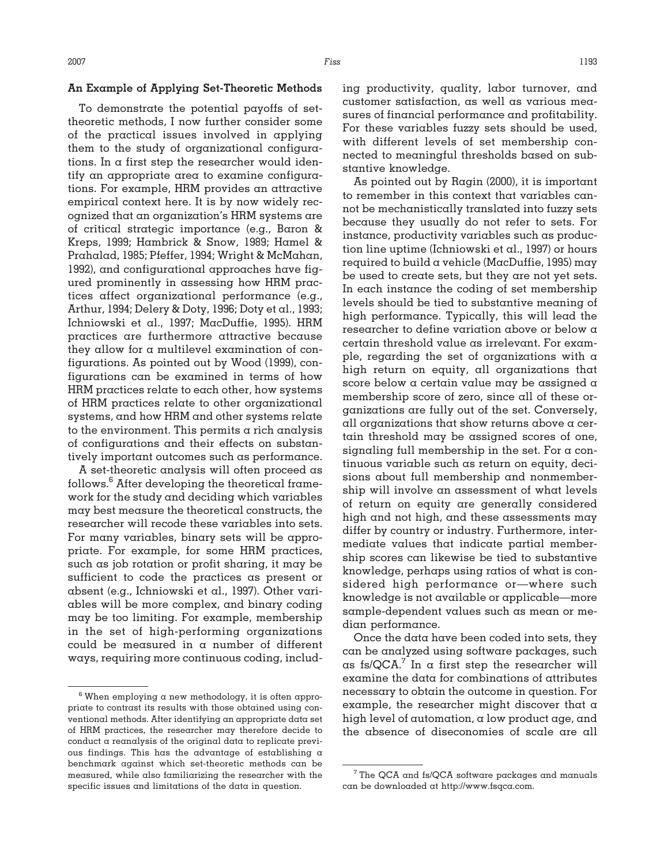### **An Example of Applying Set-Theoretic Methods**

To demonstrate the potential payoffs of settheoretic methods, I now further consider some of the practical issues involved in applying them to the study of organizational configurations. In a first step the researcher would identify an appropriate area to examine configurations. For example, HRM provides an attractive empirical context here. It is by now widely recognized that an organization's HRM systems are of critical strategic importance (e.g., Baron & Kreps, 1999; Hambrick & Snow, 1989; Hamel & Prahalad, 1985; Pfeffer, 1994; Wright & McMahan, 1992), and configurational approaches have figured prominently in assessing how HRM practices affect organizational performance (e.g., Arthur, 1994; Delery & Doty, 1996; Doty et al., 1993; Ichniowski et al., 1997; MacDuffie, 1995). HRM practices are furthermore attractive because they allow for a multilevel examination of configurations. As pointed out by Wood (1999), configurations can be examined in terms of how HRM practices relate to each other, how systems of HRM practices relate to other organizational systems, and how HRM and other systems relate to the environment. This permits  $\alpha$  rich analysis of configurations and their effects on substantively important outcomes such as performance.

A set-theoretic analysis will often proceed as follows. $6$  After developing the theoretical framework for the study and deciding which variables may best measure the theoretical constructs, the researcher will recode these variables into sets. For many variables, binary sets will be appropriate. For example, for some HRM practices, such as job rotation or profit sharing, it may be sufficient to code the practices as present or absent (e.g., Ichniowski et al., 1997). Other variables will be more complex, and binary coding may be too limiting. For example, membership in the set of high-performing organizations could be measured in a number of different ways, requiring more continuous coding, including productivity, quality, labor turnover, and customer satisfaction, as well as various measures of financial performance and profitability. For these variables fuzzy sets should be used, with different levels of set membership connected to meaningful thresholds based on substantive knowledge.

As pointed out by Ragin (2000), it is important to remember in this context that variables cannot be mechanistically translated into fuzzy sets because they usually do not refer to sets. For instance, productivity variables such as production line uptime (Ichniowski et al., 1997) or hours required to build a vehicle (MacDuffie, 1995) may be used to create sets, but they are not yet sets. In each instance the coding of set membership levels should be tied to substantive meaning of high performance. Typically, this will lead the researcher to define variation above or below a certain threshold value as irrelevant. For example, regarding the set of organizations with a high return on equity, all organizations that score below a certain value may be assigned a membership score of zero, since all of these organizations are fully out of the set. Conversely, all organizations that show returns above a certain threshold may be assigned scores of one, signaling full membership in the set. For  $\alpha$  continuous variable such as return on equity, decisions about full membership and nonmembership will involve an assessment of what levels of return on equity are generally considered high and not high, and these assessments may differ by country or industry. Furthermore, intermediate values that indicate partial membership scores can likewise be tied to substantive knowledge, perhaps using ratios of what is considered high performance or—where such knowledge is not available or applicable—more sample-dependent values such as mean or median performance.

Once the data have been coded into sets, they can be analyzed using software packages, such as fs/QCA.<sup>7</sup> In a first step the researcher will examine the data for combinations of attributes necessary to obtain the outcome in question. For example, the researcher might discover that a high level of automation, a low product age, and the absence of diseconomies of scale are all

 $6$  When employing a new methodology, it is often appropriate to contrast its results with those obtained using conventional methods. After identifying an appropriate data set of HRM practices, the researcher may therefore decide to conduct a reanalysis of the original data to replicate previous findings. This has the advantage of establishing a benchmark against which set-theoretic methods can be measured, while also familiarizing the researcher with the specific issues and limitations of the data in question.

<sup>7</sup> The QCA and fs/QCA software packages and manuals can be downloaded at http://www.fsqca.com.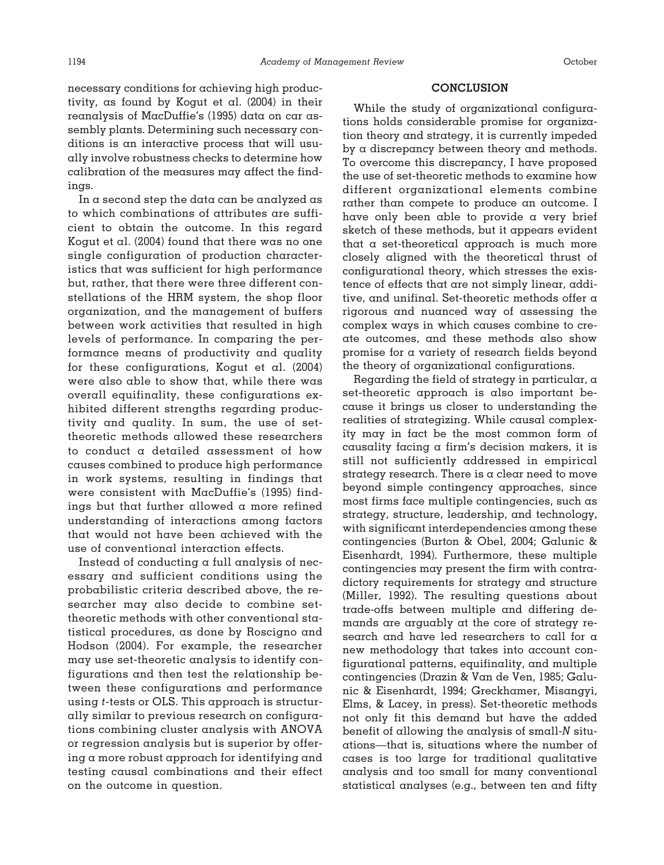necessary conditions for achieving high productivity, as found by Kogut et al. (2004) in their reanalysis of MacDuffie's (1995) data on car assembly plants. Determining such necessary conditions is an interactive process that will usually involve robustness checks to determine how calibration of the measures may affect the findings.

In a second step the data can be analyzed as to which combinations of attributes are sufficient to obtain the outcome. In this regard Kogut et al. (2004) found that there was no one single configuration of production characteristics that was sufficient for high performance but, rather, that there were three different constellations of the HRM system, the shop floor organization, and the management of buffers between work activities that resulted in high levels of performance. In comparing the performance means of productivity and quality for these configurations, Kogut et al. (2004) were also able to show that, while there was overall equifinality, these configurations exhibited different strengths regarding productivity and quality. In sum, the use of settheoretic methods allowed these researchers to conduct a detailed assessment of how causes combined to produce high performance in work systems, resulting in findings that were consistent with MacDuffie's (1995) findings but that further allowed a more refined understanding of interactions among factors that would not have been achieved with the use of conventional interaction effects.

Instead of conducting a full analysis of necessary and sufficient conditions using the probabilistic criteria described above, the researcher may also decide to combine settheoretic methods with other conventional statistical procedures, as done by Roscigno and Hodson (2004). For example, the researcher may use set-theoretic analysis to identify configurations and then test the relationship between these configurations and performance using *t*-tests or OLS. This approach is structurally similar to previous research on configurations combining cluster analysis with ANOVA or regression analysis but is superior by offering a more robust approach for identifying and testing causal combinations and their effect on the outcome in question.

## **CONCLUSION**

While the study of organizational configurations holds considerable promise for organization theory and strategy, it is currently impeded by a discrepancy between theory and methods. To overcome this discrepancy, I have proposed the use of set-theoretic methods to examine how different organizational elements combine rather than compete to produce an outcome. I have only been able to provide a very brief sketch of these methods, but it appears evident that a set-theoretical approach is much more closely aligned with the theoretical thrust of configurational theory, which stresses the existence of effects that are not simply linear, additive, and unifinal. Set-theoretic methods offer a rigorous and nuanced way of assessing the complex ways in which causes combine to create outcomes, and these methods also show promise for a variety of research fields beyond the theory of organizational configurations.

Regarding the field of strategy in particular,  $\alpha$ set-theoretic approach is also important because it brings us closer to understanding the realities of strategizing. While causal complexity may in fact be the most common form of causality facing a firm's decision makers, it is still not sufficiently addressed in empirical strategy research. There is a clear need to move beyond simple contingency approaches, since most firms face multiple contingencies, such as strategy, structure, leadership, and technology, with significant interdependencies among these contingencies (Burton & Obel, 2004; Galunic & Eisenhardt, 1994). Furthermore, these multiple contingencies may present the firm with contradictory requirements for strategy and structure (Miller, 1992). The resulting questions about trade-offs between multiple and differing demands are arguably at the core of strategy research and have led researchers to call for a new methodology that takes into account configurational patterns, equifinality, and multiple contingencies (Drazin & Van de Ven, 1985; Galunic & Eisenhardt, 1994; Greckhamer, Misangyi, Elms, & Lacey, in press). Set-theoretic methods not only fit this demand but have the added benefit of allowing the analysis of small-*N* situations—that is, situations where the number of cases is too large for traditional qualitative analysis and too small for many conventional statistical analyses (e.g., between ten and fifty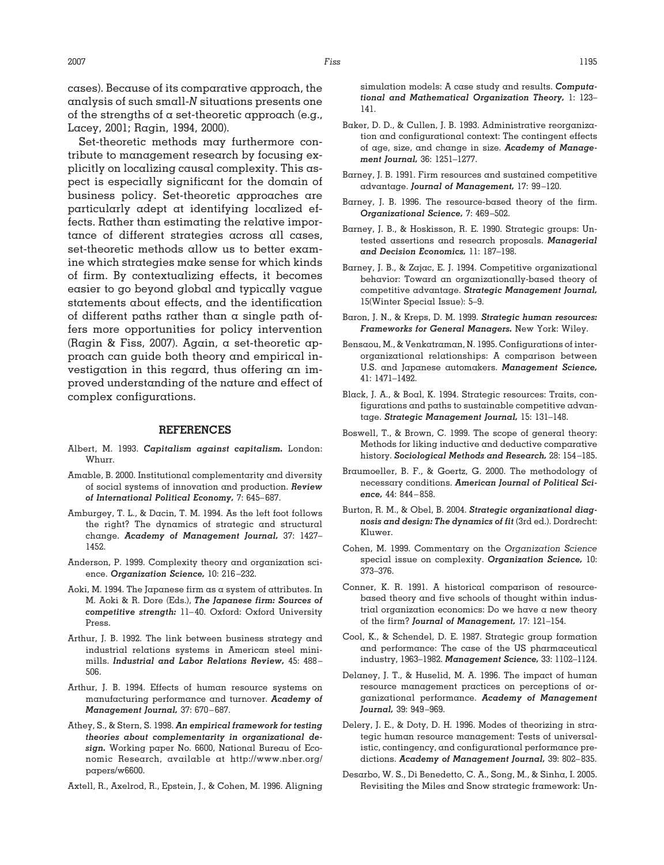cases). Because of its comparative approach, the analysis of such small-*N* situations presents one of the strengths of  $\alpha$  set-theoretic approach (e.g., Lacey, 2001; Ragin, 1994, 2000).

Set-theoretic methods may furthermore contribute to management research by focusing explicitly on localizing causal complexity. This aspect is especially significant for the domain of business policy. Set-theoretic approaches are particularly adept at identifying localized effects. Rather than estimating the relative importance of different strategies across all cases, set-theoretic methods allow us to better examine which strategies make sense for which kinds of firm. By contextualizing effects, it becomes easier to go beyond global and typically vague statements about effects, and the identification of different paths rather than a single path offers more opportunities for policy intervention (Ragin & Fiss, 2007). Again, a set-theoretic approach can guide both theory and empirical investigation in this regard, thus offering an improved understanding of the nature and effect of complex configurations.

#### **REFERENCES**

- Albert, M. 1993. *Capitalism against capitalism.* London: Whurr.
- Amable, B. 2000. Institutional complementarity and diversity of social systems of innovation and production. *Review of International Political Economy,* 7: 645– 687.
- Amburgey, T. L., & Dacin, T. M. 1994. As the left foot follows the right? The dynamics of strategic and structural change. *Academy of Management Journal,* 37: 1427– 1452.
- Anderson, P. 1999. Complexity theory and organization science. *Organization Science,* 10: 216 –232.
- Aoki, M. 1994. The Japanese firm as a system of attributes. In M. Aoki & R. Dore (Eds.), *The Japanese firm: Sources of competitive strength:* 11– 40. Oxford: Oxford University Press.
- Arthur, J. B. 1992. The link between business strategy and industrial relations systems in American steel minimills. *Industrial and Labor Relations Review,* 45: 488 – 506.
- Arthur, J. B. 1994. Effects of human resource systems on manufacturing performance and turnover. *Academy of Management Journal,* 37: 670 – 687.
- Athey, S., & Stern, S. 1998. *An empirical framework for testing theories about complementarity in organizational design.* Working paper No. 6600, National Bureau of Economic Research, available at http://www.nber.org/ papers/w6600.
- Axtell, R., Axelrod, R., Epstein, J., & Cohen, M. 1996. Aligning
- Baker, D. D., & Cullen, J. B. 1993. Administrative reorganization and configurational context: The contingent effects of age, size, and change in size. *Academy of Management Journal,* 36: 1251–1277.
- Barney, J. B. 1991. Firm resources and sustained competitive advantage. *Journal of Management,* 17: 99 –120.
- Barney, J. B. 1996. The resource-based theory of the firm. *Organizational Science,* 7: 469 –502.
- Barney, J. B., & Hoskisson, R. E. 1990. Strategic groups: Untested assertions and research proposals. *Managerial and Decision Economics,* 11: 187–198.
- Barney, J. B., & Zajac, E. J. 1994. Competitive organizational behavior: Toward an organizationally-based theory of competitive advantage. *Strategic Management Journal,* 15(Winter Special Issue): 5–9.
- Baron, J. N., & Kreps, D. M. 1999. *Strategic human resources: Frameworks for General Managers.* New York: Wiley.
- Bensaou, M., & Venkatraman, N. 1995. Configurations of interorganizational relationships: A comparison between U.S. and Japanese automakers. *Management Science,* 41: 1471–1492.
- Black, J. A., & Boal, K. 1994. Strategic resources: Traits, configurations and paths to sustainable competitive advantage. *Strategic Management Journal,* 15: 131–148.
- Boswell, T., & Brown, C. 1999. The scope of general theory: Methods for liking inductive and deductive comparative history. *Sociological Methods and Research,* 28: 154 –185.
- Braumoeller, B. F., & Goertz, G. 2000. The methodology of necessary conditions. *American Journal of Political Science,* 44: 844 – 858.
- Burton, R. M., & Obel, B. 2004. *Strategic organizational diagnosis and design: The dynamics of fit* (3rd ed.). Dordrecht: Kluwer.
- Cohen, M. 1999. Commentary on the *Organization Science* special issue on complexity. *Organization Science,* 10: 373–376.
- Conner, K. R. 1991. A historical comparison of resourcebased theory and five schools of thought within industrial organization economics: Do we have a new theory of the firm? *Journal of Management,* 17: 121–154.
- Cool, K., & Schendel, D. E. 1987. Strategic group formation and performance: The case of the US pharmaceutical industry, 1963–1982. *Management Science,* 33: 1102–1124.
- Delaney, J. T., & Huselid, M. A. 1996. The impact of human resource management practices on perceptions of organizational performance. *Academy of Management Journal,* 39: 949 –969.
- Delery, J. E., & Doty, D. H. 1996. Modes of theorizing in strategic human resource management: Tests of universalistic, contingency, and configurational performance predictions. *Academy of Management Journal,* 39: 802– 835.
- Desarbo, W. S., Di Benedetto, C. A., Song, M., & Sinha, I. 2005. Revisiting the Miles and Snow strategic framework: Un-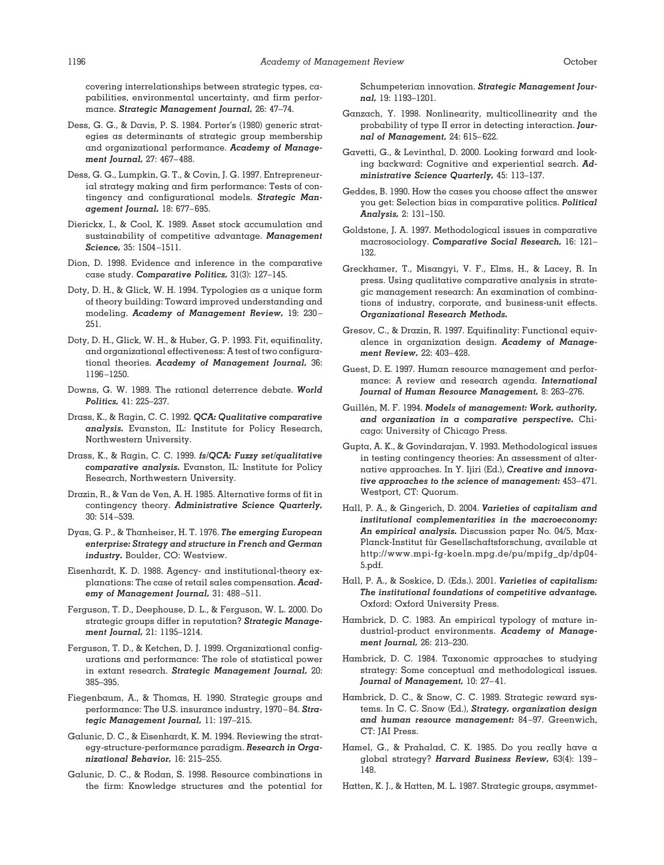- Dess, G. G., & Davis, P. S. 1984. Porter's (1980) generic strategies as determinants of strategic group membership and organizational performance. *Academy of Management Journal,* 27: 467– 488.
- Dess, G. G., Lumpkin, G. T., & Covin, J. G. 1997. Entrepreneurial strategy making and firm performance: Tests of contingency and configurational models. *Strategic Management Journal,* 18: 677– 695.
- Dierickx, I., & Cool, K. 1989. Asset stock accumulation and sustainability of competitive advantage. *Management Science,* 35: 1504 –1511.
- Dion, D. 1998. Evidence and inference in the comparative case study. *Comparative Politics,* 31(3): 127–145.
- Doty, D. H., & Glick, W. H. 1994. Typologies as a unique form of theory building: Toward improved understanding and modeling. *Academy of Management Review,* 19: 230 – 251.
- Doty, D. H., Glick, W. H., & Huber, G. P. 1993. Fit, equifinality, and organizational effectiveness: A test of two configurational theories. *Academy of Management Journal,* 36: 1196 –1250.
- Downs, G. W. 1989. The rational deterrence debate. *World Politics,* 41: 225–237.
- Drass, K., & Ragin, C. C. 1992. *QCA: Qualitative comparative analysis.* Evanston, IL: Institute for Policy Research, Northwestern University.
- Drass, K., & Ragin, C. C. 1999. *fs/QCA: Fuzzy set/qualitative comparative analysis.* Evanston, IL: Institute for Policy Research, Northwestern University.
- Drazin, R., & Van de Ven, A. H. 1985. Alternative forms of fit in contingency theory. *Administrative Science Quarterly,* 30: 514 –539.
- Dyas, G. P., & Thanheiser, H. T. 1976. *The emerging European enterprise: Strategy and structure in French and German industry.* Boulder, CO: Westview.
- Eisenhardt, K. D. 1988. Agency- and institutional-theory explanations: The case of retail sales compensation. *Academy of Management Journal,* 31: 488 –511.
- Ferguson, T. D., Deephouse, D. L., & Ferguson, W. L. 2000. Do strategic groups differ in reputation? *Strategic Management Journal,* 21: 1195–1214.
- Ferguson, T. D., & Ketchen, D. J. 1999. Organizational configurations and performance: The role of statistical power in extant research. *Strategic Management Journal,* 20: 385–395.
- Fiegenbaum, A., & Thomas, H. 1990. Strategic groups and performance: The U.S. insurance industry, 1970 – 84. *Strategic Management Journal,* 11: 197–215.
- Galunic, D. C., & Eisenhardt, K. M. 1994. Reviewing the strategy-structure-performance paradigm. *Research in Organizational Behavior,* 16: 215–255.
- Galunic, D. C., & Rodan, S. 1998. Resource combinations in the firm: Knowledge structures and the potential for

Schumpeterian innovation. *Strategic Management Journal,* 19: 1193–1201.

- Ganzach, Y. 1998. Nonlinearity, multicollinearity and the probability of type II error in detecting interaction. *Journal of Management,* 24: 615– 622.
- Gavetti, G., & Levinthal, D. 2000. Looking forward and looking backward: Cognitive and experiential search. *Administrative Science Quarterly,* 45: 113–137.
- Geddes, B. 1990. How the cases you choose affect the answer you get: Selection bias in comparative politics. *Political Analysis,* 2: 131–150.
- Goldstone, J. A. 1997. Methodological issues in comparative macrosociology. *Comparative Social Research,* 16: 121– 132.
- Greckhamer, T., Misangyi, V. F., Elms, H., & Lacey, R. In press. Using qualitative comparative analysis in strategic management research: An examination of combinations of industry, corporate, and business-unit effects. *Organizational Research Methods.*
- Gresov, C., & Drazin, R. 1997. Equifinality: Functional equivalence in organization design. *Academy of Management Review,* 22: 403– 428.
- Guest, D. E. 1997. Human resource management and performance: A review and research agenda. *International Journal of Human Resource Management,* 8: 263–276.
- Guille´n, M. F. 1994. *Models of management: Work, authority, and organization in a comparative perspective.* Chicago: University of Chicago Press.
- Gupta, A. K., & Govindarajan, V. 1993. Methodological issues in testing contingency theories: An assessment of alternative approaches. In Y. Ijiri (Ed.), *Creative and innovative approaches to the science of management:* 453– 471. Westport, CT: Quorum.
- Hall, P. A., & Gingerich, D. 2004. *Varieties of capitalism and institutional complementarities in the macroeconomy: An empirical analysis.* Discussion paper No. 04/5, Max-Planck-Institut für Gesellschaftsforschung, available at http://www.mpi-fg-koeln.mpg.de/pu/mpifg\_dp/dp04- 5.pdf.
- Hall, P. A., & Soskice, D. (Eds.). 2001. *Varieties of capitalism: The institutional foundations of competitive advantage.* Oxford: Oxford University Press.
- Hambrick, D. C. 1983. An empirical typology of mature industrial-product environments. *Academy of Management Journal,* 26: 213–230.
- Hambrick, D. C. 1984. Taxonomic approaches to studying strategy: Some conceptual and methodological issues. Journal of Management, 10: 27-41.
- Hambrick, D. C., & Snow, C. C. 1989. Strategic reward systems. In C. C. Snow (Ed.), *Strategy, organization design and human resource management:* 84 –97. Greenwich, CT: JAI Press.
- Hamel, G., & Prahalad, C. K. 1985. Do you really have a global strategy? *Harvard Business Review,* 63(4): 139 – 148.
- Hatten, K. J., & Hatten, M. L. 1987. Strategic groups, asymmet-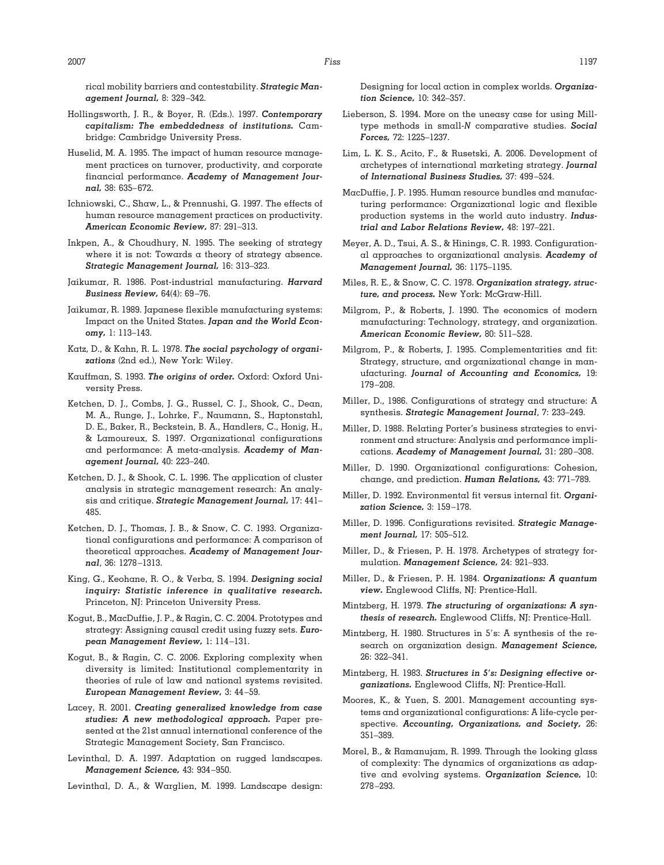rical mobility barriers and contestability. *Strategic Management Journal,* 8: 329 –342.

- Hollingsworth, J. R., & Boyer, R. (Eds.). 1997. *Contemporary capitalism: The embeddedness of institutions.* Cambridge: Cambridge University Press.
- Huselid, M. A. 1995. The impact of human resource management practices on turnover, productivity, and corporate financial performance. *Academy of Management Journal,* 38: 635– 672.
- Ichniowski, C., Shaw, L., & Prennushi, G. 1997. The effects of human resource management practices on productivity. *American Economic Review,* 87: 291–313.
- Inkpen, A., & Choudhury, N. 1995. The seeking of strategy where it is not: Towards a theory of strategy absence. *Strategic Management Journal,* 16: 313–323.
- Jaikumar, R. 1986. Post-industrial manufacturing. *Harvard Business Review,* 64(4): 69 –76.
- Jaikumar, R. 1989. Japanese flexible manufacturing systems: Impact on the United States. *Japan and the World Economy,* 1: 113–143.
- Katz, D., & Kahn, R. L. 1978. *The social psychology of organizations* (2nd ed.), New York: Wiley.
- Kauffman, S. 1993. *The origins of order.* Oxford: Oxford University Press.
- Ketchen, D. J., Combs, J. G., Russel, C. J., Shook, C., Dean, M. A., Runge, J., Lohrke, F., Naumann, S., Haptonstahl, D. E., Baker, R., Beckstein, B. A., Handlers, C., Honig, H., & Lamoureux, S. 1997. Organizational configurations and performance: A meta-analysis. *Academy of Management Journal,* 40: 223–240.
- Ketchen, D. J., & Shook, C. L. 1996. The application of cluster analysis in strategic management research: An analysis and critique. *Strategic Management Journal,* 17: 441– 485.
- Ketchen, D. J., Thomas, J. B., & Snow, C. C. 1993. Organizational configurations and performance: A comparison of theoretical approaches. *Academy of Management Journal*, 36: 1278 –1313.
- King, G., Keohane, R. O., & Verba, S. 1994. *Designing social inquiry: Statistic inference in qualitative research.* Princeton, NJ: Princeton University Press.
- Kogut, B., MacDuffie, J. P., & Ragin, C. C. 2004. Prototypes and strategy: Assigning causal credit using fuzzy sets. *European Management Review,* 1: 114 –131.
- Kogut, B., & Ragin, C. C. 2006. Exploring complexity when diversity is limited: Institutional complementarity in theories of rule of law and national systems revisited. *European Management Review,* 3: 44 –59.
- Lacey, R. 2001. *Creating generalized knowledge from case studies: A new methodological approach.* Paper presented at the 21st annual international conference of the Strategic Management Society, San Francisco.
- Levinthal, D. A. 1997. Adaptation on rugged landscapes. *Management Science,* 43: 934 –950.
- Levinthal, D. A., & Warglien, M. 1999. Landscape design:

Designing for local action in complex worlds. *Organization Science,* 10: 342–357.

- Lieberson, S. 1994. More on the uneasy case for using Milltype methods in small-*N* comparative studies. *Social Forces,* 72: 1225–1237.
- Lim, L. K. S., Acito, F., & Rusetski, A. 2006. Development of archetypes of international marketing strategy. *Journal of International Business Studies,* 37: 499 –524.
- MacDuffie, J. P. 1995. Human resource bundles and manufacturing performance: Organizational logic and flexible production systems in the world auto industry. *Industrial and Labor Relations Review,* 48: 197–221.
- Meyer, A. D., Tsui, A. S., & Hinings, C. R. 1993. Configurational approaches to organizational analysis. *Academy of Management Journal,* 36: 1175–1195.
- Miles, R. E., & Snow, C. C. 1978. *Organization strategy, structure, and process.* New York: McGraw-Hill.
- Milgrom, P., & Roberts, J. 1990. The economics of modern manufacturing: Technology, strategy, and organization. *American Economic Review,* 80: 511–528.
- Milgrom, P., & Roberts, J. 1995. Complementarities and fit: Strategy, structure, and organizational change in manufacturing. *Journal of Accounting and Economics,* 19: 179 –208.
- Miller, D., 1986. Configurations of strategy and structure: A synthesis. *Strategic Management Journal*, 7: 233–249.
- Miller, D. 1988. Relating Porter's business strategies to environment and structure: Analysis and performance implications. *Academy of Management Journal,* 31: 280 –308.
- Miller, D. 1990. Organizational configurations: Cohesion, change, and prediction. *Human Relations,* 43: 771–789.
- Miller, D. 1992. Environmental fit versus internal fit. *Organization Science,* 3: 159 –178.
- Miller, D. 1996. Configurations revisited. *Strategic Management Journal,* 17: 505–512.
- Miller, D., & Friesen, P. H. 1978. Archetypes of strategy formulation. *Management Science,* 24: 921–933.
- Miller, D., & Friesen, P. H. 1984. *Organizations: A quantum view.* Englewood Cliffs, NJ: Prentice-Hall.
- Mintzberg, H. 1979. *The structuring of organizations: A synthesis of research.* Englewood Cliffs, NJ: Prentice-Hall.
- Mintzberg, H. 1980. Structures in 5's: A synthesis of the research on organization design. *Management Science,* 26: 322–341.
- Mintzberg, H. 1983. *Structures in 5s: Designing effective organizations.* Englewood Cliffs, NJ: Prentice-Hall.
- Moores, K., & Yuen, S. 2001. Management accounting systems and organizational configurations: A life-cycle perspective. *Accounting, Organizations, and Society,* 26: 351–389.
- Morel, B., & Ramanujam, R. 1999. Through the looking glass of complexity: The dynamics of organizations as adaptive and evolving systems. *Organization Science,* 10: 278 –293.